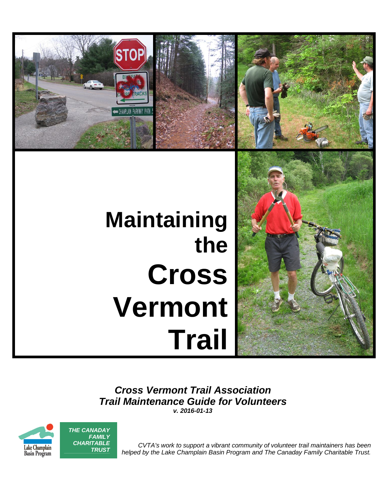

# **Maintaining the Cross Vermont Trail**



*Cross Vermont Trail Association Trail Maintenance Guide for Volunteers*

*v. 2016-01-13*



*TRUST*

*CVTA's work to support a vibrant community of volunteer trail maintainers has been helped by the Lake Champlain Basin Program and The Canaday Family Charitable Trust.*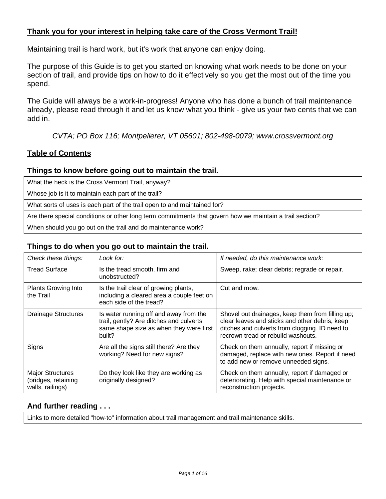# **Thank you for your interest in helping take care of the Cross Vermont Trail!**

Maintaining trail is hard work, but it's work that anyone can enjoy doing.

The purpose of this Guide is to get you started on knowing what work needs to be done on your section of trail, and provide tips on how to do it effectively so you get the most out of the time you spend.

The Guide will always be a work-in-progress! Anyone who has done a bunch of trail maintenance already, please read through it and let us know what you think - give us your two cents that we can add in.

*CVTA; PO Box 116; Montpelierer, VT 05601; 802-498-0079; www.crossvermont.org*

# **Table of Contents**

## **Things to know before going out to maintain the trail.**

What the heck is the Cross Vermont Trail, anyway?

Whose job is it to maintain each part of the trail?

What sorts of uses is each part of the trail open to and maintained for?

Are there special conditions or other long term commitments that govern how we maintain a trail section?

When should you go out on the trail and do maintenance work?

#### **Things to do when you go out to maintain the trail.**

| Check these things:                                                | Look for:                                                                                                                              | If needed, do this maintenance work:                                                                                                                                                       |
|--------------------------------------------------------------------|----------------------------------------------------------------------------------------------------------------------------------------|--------------------------------------------------------------------------------------------------------------------------------------------------------------------------------------------|
| <b>Tread Surface</b>                                               | Is the tread smooth, firm and<br>unobstructed?                                                                                         | Sweep, rake; clear debris; regrade or repair.                                                                                                                                              |
| Plants Growing Into<br>the Trail                                   | Is the trail clear of growing plants,<br>including a cleared area a couple feet on<br>each side of the tread?                          | Cut and mow.                                                                                                                                                                               |
| <b>Drainage Structures</b>                                         | Is water running off and away from the<br>trail, gently? Are ditches and culverts<br>same shape size as when they were first<br>built? | Shovel out drainages, keep them from filling up;<br>clear leaves and sticks and other debris, keep<br>ditches and culverts from clogging. ID need to<br>recrown tread or rebuild washouts. |
| Signs                                                              | Are all the signs still there? Are they<br>working? Need for new signs?                                                                | Check on them annually, report if missing or<br>damaged, replace with new ones. Report if need<br>to add new or remove unneeded signs.                                                     |
| <b>Major Structures</b><br>(bridges, retaining<br>walls, railings) | Do they look like they are working as<br>originally designed?                                                                          | Check on them annually, report if damaged or<br>deteriorating. Help with special maintenance or<br>reconstruction projects.                                                                |

## **And further reading . . .**

Links to more detailed "how-to" information about trail management and trail maintenance skills.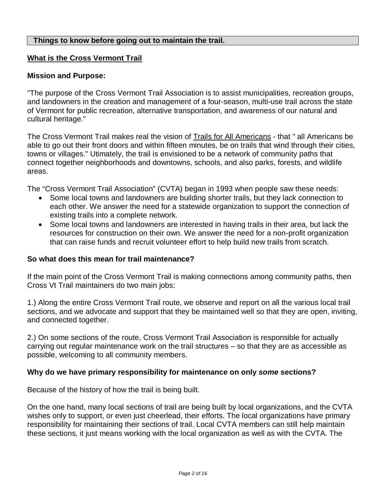#### **Things to know before going out to maintain the trail.**

#### **What is the Cross Vermont Trail**

#### **Mission and Purpose:**

"The purpose of the Cross Vermont Trail Association is to assist municipalities, recreation groups, and landowners in the creation and management of a four-season, multi-use trail across the state of Vermont for public recreation, alternative transportation, and awareness of our natural and cultural heritage."

The Cross Vermont Trail makes real the vision of Trails for All Americans - that " all Americans be able to go out their front doors and within fifteen minutes, be on trails that wind through their cities, towns or villages." Utimately, the trail is envisioned to be a network of community paths that connect together neighborhoods and downtowns, schools, and also parks, forests, and wildlife areas.

The "Cross Vermont Trail Association" (CVTA) began in 1993 when people saw these needs:

- Some local towns and landowners are building shorter trails, but they lack connection to each other. We answer the need for a statewide organization to support the connection of existing trails into a complete network.
- Some local towns and landowners are interested in having trails in their area, but lack the resources for construction on their own. We answer the need for a non-profit organization that can raise funds and recruit volunteer effort to help build new trails from scratch.

#### **So what does this mean for trail maintenance?**

If the main point of the Cross Vermont Trail is making connections among community paths, then Cross Vt Trail maintainers do two main jobs:

1.) Along the entire Cross Vermont Trail route, we observe and report on all the various local trail sections, and we advocate and support that they be maintained well so that they are open, inviting, and connected together.

2.) On some sections of the route, Cross Vermont Trail Association is responsible for actually carrying out regular maintenance work on the trail structures – so that they are as accessible as possible, welcoming to all community members.

#### **Why do we have primary responsibility for maintenance on only** *some* **sections?**

Because of the history of how the trail is being built.

On the one hand, many local sections of trail are being built by local organizations, and the CVTA wishes only to support, or even just cheerlead, their efforts. The local organizations have primary responsibility for maintaining their sections of trail. Local CVTA members can still help maintain these sections, it just means working with the local organization as well as with the CVTA. The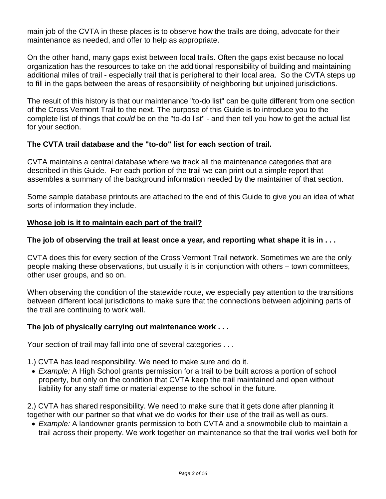main job of the CVTA in these places is to observe how the trails are doing, advocate for their maintenance as needed, and offer to help as appropriate.

On the other hand, many gaps exist between local trails. Often the gaps exist because no local organization has the resources to take on the additional responsibility of building and maintaining additional miles of trail - especially trail that is peripheral to their local area. So the CVTA steps up to fill in the gaps between the areas of responsibility of neighboring but unjoined jurisdictions.

The result of this history is that our maintenance "to-do list" can be quite different from one section of the Cross Vermont Trail to the next. The purpose of this Guide is to introduce you to the complete list of things that *could* be on the "to-do list" - and then tell you how to get the actual list for your section.

# **The CVTA trail database and the "to-do" list for each section of trail.**

CVTA maintains a central database where we track all the maintenance categories that are described in this Guide. For each portion of the trail we can print out a simple report that assembles a summary of the background information needed by the maintainer of that section.

Some sample database printouts are attached to the end of this Guide to give you an idea of what sorts of information they include.

# **Whose job is it to maintain each part of the trail?**

# **The job of observing the trail at least once a year, and reporting what shape it is in . . .**

CVTA does this for every section of the Cross Vermont Trail network. Sometimes we are the only people making these observations, but usually it is in conjunction with others – town committees, other user groups, and so on.

When observing the condition of the statewide route, we especially pay attention to the transitions between different local jurisdictions to make sure that the connections between adjoining parts of the trail are continuing to work well.

## **The job of physically carrying out maintenance work . . .**

Your section of trail may fall into one of several categories . . .

- 1.) CVTA has lead responsibility. We need to make sure and do it.
- *Example:* A High School grants permission for a trail to be built across a portion of school property, but only on the condition that CVTA keep the trail maintained and open without liability for any staff time or material expense to the school in the future.

2.) CVTA has shared responsibility. We need to make sure that it gets done after planning it together with our partner so that what we do works for their use of the trail as well as ours.

 *Example:* A landowner grants permission to both CVTA and a snowmobile club to maintain a trail across their property. We work together on maintenance so that the trail works well both for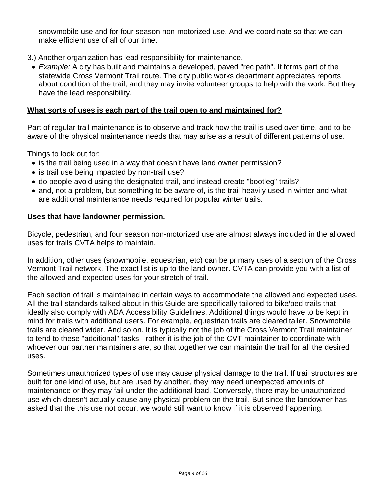snowmobile use and for four season non-motorized use. And we coordinate so that we can make efficient use of all of our time.

- 3.) Another organization has lead responsibility for maintenance.
	- *Example:* A city has built and maintains a developed, paved "rec path". It forms part of the statewide Cross Vermont Trail route. The city public works department appreciates reports about condition of the trail, and they may invite volunteer groups to help with the work. But they have the lead responsibility.

#### **What sorts of uses is each part of the trail open to and maintained for?**

Part of regular trail maintenance is to observe and track how the trail is used over time, and to be aware of the physical maintenance needs that may arise as a result of different patterns of use.

Things to look out for:

- is the trail being used in a way that doesn't have land owner permission?
- is trail use being impacted by non-trail use?
- do people avoid using the designated trail, and instead create "bootleg" trails?
- and, not a problem, but something to be aware of, is the trail heavily used in winter and what are additional maintenance needs required for popular winter trails.

#### **Uses that have landowner permission.**

Bicycle, pedestrian, and four season non-motorized use are almost always included in the allowed uses for trails CVTA helps to maintain.

In addition, other uses (snowmobile, equestrian, etc) can be primary uses of a section of the Cross Vermont Trail network. The exact list is up to the land owner. CVTA can provide you with a list of the allowed and expected uses for your stretch of trail.

Each section of trail is maintained in certain ways to accommodate the allowed and expected uses. All the trail standards talked about in this Guide are specifically tailored to bike/ped trails that ideally also comply with ADA Accessibility Guidelines. Additional things would have to be kept in mind for trails with additional users. For example, equestrian trails are cleared taller. Snowmobile trails are cleared wider. And so on. It is typically not the job of the Cross Vermont Trail maintainer to tend to these "additional" tasks - rather it is the job of the CVT maintainer to coordinate with whoever our partner maintainers are, so that together we can maintain the trail for all the desired uses.

Sometimes unauthorized types of use may cause physical damage to the trail. If trail structures are built for one kind of use, but are used by another, they may need unexpected amounts of maintenance or they may fail under the additional load. Conversely, there may be unauthorized use which doesn't actually cause any physical problem on the trail. But since the landowner has asked that the this use not occur, we would still want to know if it is observed happening.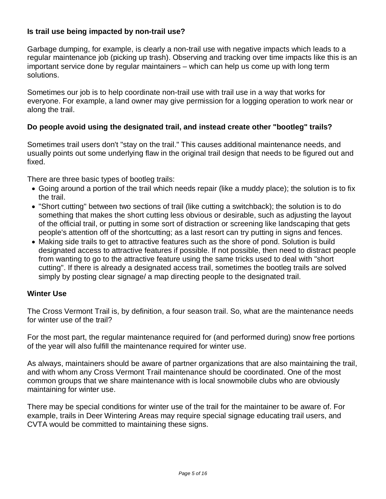# **Is trail use being impacted by non-trail use?**

Garbage dumping, for example, is clearly a non-trail use with negative impacts which leads to a regular maintenance job (picking up trash). Observing and tracking over time impacts like this is an important service done by regular maintainers – which can help us come up with long term solutions.

Sometimes our job is to help coordinate non-trail use with trail use in a way that works for everyone. For example, a land owner may give permission for a logging operation to work near or along the trail.

# **Do people avoid using the designated trail, and instead create other "bootleg" trails?**

Sometimes trail users don't "stay on the trail." This causes additional maintenance needs, and usually points out some underlying flaw in the original trail design that needs to be figured out and fixed.

There are three basic types of bootleg trails:

- Going around a portion of the trail which needs repair (like a muddy place); the solution is to fix the trail.
- "Short cutting" between two sections of trail (like cutting a switchback); the solution is to do something that makes the short cutting less obvious or desirable, such as adjusting the layout of the official trail, or putting in some sort of distraction or screening like landscaping that gets people's attention off of the shortcutting; as a last resort can try putting in signs and fences.
- Making side trails to get to attractive features such as the shore of pond. Solution is build designated access to attractive features if possible. If not possible, then need to distract people from wanting to go to the attractive feature using the same tricks used to deal with "short cutting". If there is already a designated access trail, sometimes the bootleg trails are solved simply by posting clear signage/ a map directing people to the designated trail.

## **Winter Use**

The Cross Vermont Trail is, by definition, a four season trail. So, what are the maintenance needs for winter use of the trail?

For the most part, the regular maintenance required for (and performed during) snow free portions of the year will also fulfill the maintenance required for winter use.

As always, maintainers should be aware of partner organizations that are also maintaining the trail, and with whom any Cross Vermont Trail maintenance should be coordinated. One of the most common groups that we share maintenance with is local snowmobile clubs who are obviously maintaining for winter use.

There may be special conditions for winter use of the trail for the maintainer to be aware of. For example, trails in Deer Wintering Areas may require special signage educating trail users, and CVTA would be committed to maintaining these signs.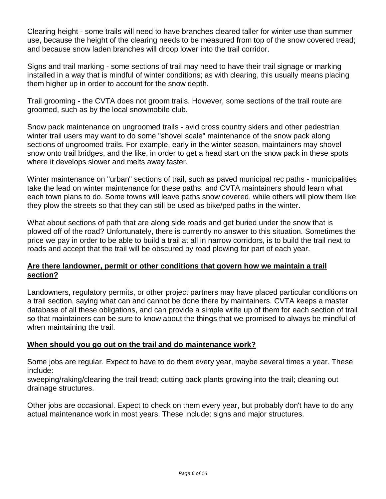Clearing height - some trails will need to have branches cleared taller for winter use than summer use, because the height of the clearing needs to be measured from top of the snow covered tread; and because snow laden branches will droop lower into the trail corridor.

Signs and trail marking - some sections of trail may need to have their trail signage or marking installed in a way that is mindful of winter conditions; as with clearing, this usually means placing them higher up in order to account for the snow depth.

Trail grooming - the CVTA does not groom trails. However, some sections of the trail route are groomed, such as by the local snowmobile club.

Snow pack maintenance on ungroomed trails - avid cross country skiers and other pedestrian winter trail users may want to do some "shovel scale" maintenance of the snow pack along sections of ungroomed trails. For example, early in the winter season, maintainers may shovel snow onto trail bridges, and the like, in order to get a head start on the snow pack in these spots where it develops slower and melts away faster.

Winter maintenance on "urban" sections of trail, such as paved municipal rec paths - municipalities take the lead on winter maintenance for these paths, and CVTA maintainers should learn what each town plans to do. Some towns will leave paths snow covered, while others will plow them like they plow the streets so that they can still be used as bike/ped paths in the winter.

What about sections of path that are along side roads and get buried under the snow that is plowed off of the road? Unfortunately, there is currently no answer to this situation. Sometimes the price we pay in order to be able to build a trail at all in narrow corridors, is to build the trail next to roads and accept that the trail will be obscured by road plowing for part of each year.

# **Are there landowner, permit or other conditions that govern how we maintain a trail section?**

Landowners, regulatory permits, or other project partners may have placed particular conditions on a trail section, saying what can and cannot be done there by maintainers. CVTA keeps a master database of all these obligations, and can provide a simple write up of them for each section of trail so that maintainers can be sure to know about the things that we promised to always be mindful of when maintaining the trail.

# **When should you go out on the trail and do maintenance work?**

Some jobs are regular. Expect to have to do them every year, maybe several times a year. These include:

sweeping/raking/clearing the trail tread; cutting back plants growing into the trail; cleaning out drainage structures.

Other jobs are occasional. Expect to check on them every year, but probably don't have to do any actual maintenance work in most years. These include: signs and major structures.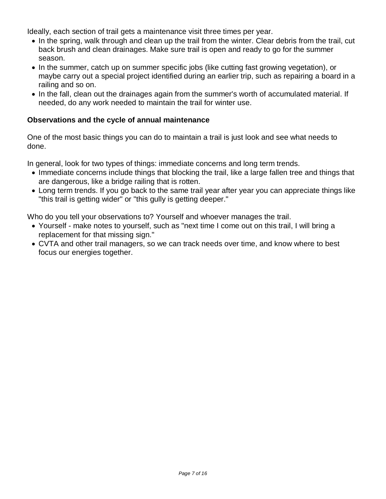Ideally, each section of trail gets a maintenance visit three times per year.

- In the spring, walk through and clean up the trail from the winter. Clear debris from the trail, cut back brush and clean drainages. Make sure trail is open and ready to go for the summer season.
- In the summer, catch up on summer specific jobs (like cutting fast growing vegetation), or maybe carry out a special project identified during an earlier trip, such as repairing a board in a railing and so on.
- In the fall, clean out the drainages again from the summer's worth of accumulated material. If needed, do any work needed to maintain the trail for winter use.

# **Observations and the cycle of annual maintenance**

One of the most basic things you can do to maintain a trail is just look and see what needs to done.

In general, look for two types of things: immediate concerns and long term trends.

- Immediate concerns include things that blocking the trail, like a large fallen tree and things that are dangerous, like a bridge railing that is rotten.
- Long term trends. If you go back to the same trail year after year you can appreciate things like "this trail is getting wider" or "this gully is getting deeper."

Who do you tell your observations to? Yourself and whoever manages the trail.

- Yourself make notes to yourself, such as "next time I come out on this trail, I will bring a replacement for that missing sign."
- CVTA and other trail managers, so we can track needs over time, and know where to best focus our energies together.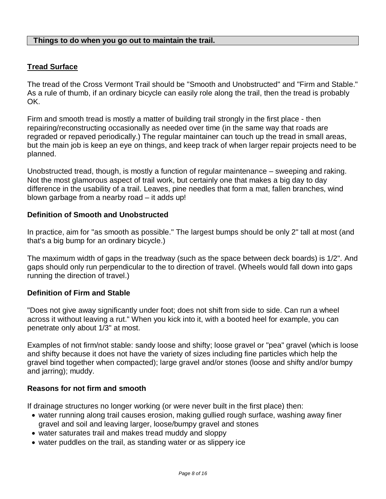#### **Things to do when you go out to maintain the trail.**

# **Tread Surface**

The tread of the Cross Vermont Trail should be "Smooth and Unobstructed" and "Firm and Stable." As a rule of thumb, if an ordinary bicycle can easily role along the trail, then the tread is probably OK.

Firm and smooth tread is mostly a matter of building trail strongly in the first place - then repairing/reconstructing occasionally as needed over time (in the same way that roads are regraded or repaved periodically.) The regular maintainer can touch up the tread in small areas, but the main job is keep an eye on things, and keep track of when larger repair projects need to be planned.

Unobstructed tread, though, is mostly a function of regular maintenance – sweeping and raking. Not the most glamorous aspect of trail work, but certainly one that makes a big day to day difference in the usability of a trail. Leaves, pine needles that form a mat, fallen branches, wind blown garbage from a nearby road – it adds up!

#### **Definition of Smooth and Unobstructed**

In practice, aim for "as smooth as possible." The largest bumps should be only 2" tall at most (and that's a big bump for an ordinary bicycle.)

The maximum width of gaps in the treadway (such as the space between deck boards) is 1/2". And gaps should only run perpendicular to the to direction of travel. (Wheels would fall down into gaps running the direction of travel.)

#### **Definition of Firm and Stable**

"Does not give away significantly under foot; does not shift from side to side. Can run a wheel across it without leaving a rut." When you kick into it, with a booted heel for example, you can penetrate only about 1/3" at most.

Examples of not firm/not stable: sandy loose and shifty; loose gravel or "pea" gravel (which is loose and shifty because it does not have the variety of sizes including fine particles which help the gravel bind together when compacted); large gravel and/or stones (loose and shifty and/or bumpy and jarring); muddy.

#### **Reasons for not firm and smooth**

If drainage structures no longer working (or were never built in the first place) then:

- water running along trail causes erosion, making gullied rough surface, washing away finer gravel and soil and leaving larger, loose/bumpy gravel and stones
- water saturates trail and makes tread muddy and sloppy
- water puddles on the trail, as standing water or as slippery ice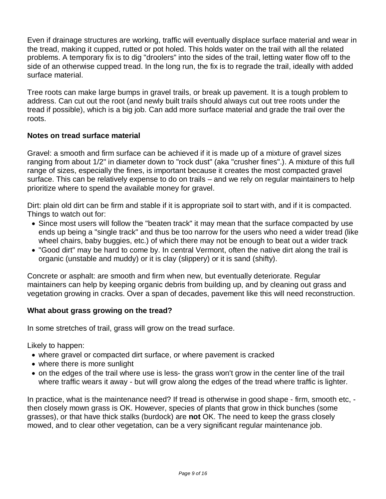Even if drainage structures are working, traffic will eventually displace surface material and wear in the tread, making it cupped, rutted or pot holed. This holds water on the trail with all the related problems. A temporary fix is to dig "droolers" into the sides of the trail, letting water flow off to the side of an otherwise cupped tread. In the long run, the fix is to regrade the trail, ideally with added surface material.

Tree roots can make large bumps in gravel trails, or break up pavement. It is a tough problem to address. Can cut out the root (and newly built trails should always cut out tree roots under the tread if possible), which is a big job. Can add more surface material and grade the trail over the roots.

# **Notes on tread surface material**

Gravel: a smooth and firm surface can be achieved if it is made up of a mixture of gravel sizes ranging from about 1/2" in diameter down to "rock dust" (aka "crusher fines".). A mixture of this full range of sizes, especially the fines, is important because it creates the most compacted gravel surface. This can be relatively expense to do on trails – and we rely on regular maintainers to help prioritize where to spend the available money for gravel.

Dirt: plain old dirt can be firm and stable if it is appropriate soil to start with, and if it is compacted. Things to watch out for:

- Since most users will follow the "beaten track" it may mean that the surface compacted by use ends up being a "single track" and thus be too narrow for the users who need a wider tread (like wheel chairs, baby buggies, etc.) of which there may not be enough to beat out a wider track
- "Good dirt" may be hard to come by. In central Vermont, often the native dirt along the trail is organic (unstable and muddy) or it is clay (slippery) or it is sand (shifty).

Concrete or asphalt: are smooth and firm when new, but eventually deteriorate. Regular maintainers can help by keeping organic debris from building up, and by cleaning out grass and vegetation growing in cracks. Over a span of decades, pavement like this will need reconstruction.

## **What about grass growing on the tread?**

In some stretches of trail, grass will grow on the tread surface.

Likely to happen:

- where gravel or compacted dirt surface, or where pavement is cracked
- where there is more sunlight
- on the edges of the trail where use is less- the grass won't grow in the center line of the trail where traffic wears it away - but will grow along the edges of the tread where traffic is lighter.

In practice, what is the maintenance need? If tread is otherwise in good shape - firm, smooth etc, then closely mown grass is OK. However, species of plants that grow in thick bunches (some grasses), or that have thick stalks (burdock) are **not** OK. The need to keep the grass closely mowed, and to clear other vegetation, can be a very significant regular maintenance job.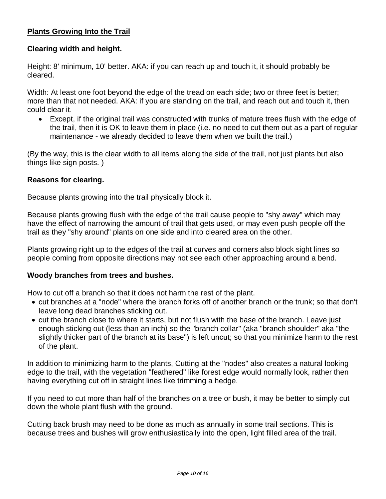# **Plants Growing Into the Trail**

## **Clearing width and height.**

Height: 8' minimum, 10' better. AKA: if you can reach up and touch it, it should probably be cleared.

Width: At least one foot beyond the edge of the tread on each side; two or three feet is better; more than that not needed. AKA: if you are standing on the trail, and reach out and touch it, then could clear it.

 Except, if the original trail was constructed with trunks of mature trees flush with the edge of the trail, then it is OK to leave them in place (i.e. no need to cut them out as a part of regular maintenance - we already decided to leave them when we built the trail.)

(By the way, this is the clear width to all items along the side of the trail, not just plants but also things like sign posts. )

#### **Reasons for clearing.**

Because plants growing into the trail physically block it.

Because plants growing flush with the edge of the trail cause people to "shy away" which may have the effect of narrowing the amount of trail that gets used, or may even push people off the trail as they "shy around" plants on one side and into cleared area on the other.

Plants growing right up to the edges of the trail at curves and corners also block sight lines so people coming from opposite directions may not see each other approaching around a bend.

#### **Woody branches from trees and bushes.**

How to cut off a branch so that it does not harm the rest of the plant.

- cut branches at a "node" where the branch forks off of another branch or the trunk; so that don't leave long dead branches sticking out.
- cut the branch close to where it starts, but not flush with the base of the branch. Leave just enough sticking out (less than an inch) so the "branch collar" (aka "branch shoulder" aka "the slightly thicker part of the branch at its base") is left uncut; so that you minimize harm to the rest of the plant.

In addition to minimizing harm to the plants, Cutting at the "nodes" also creates a natural looking edge to the trail, with the vegetation "feathered" like forest edge would normally look, rather then having everything cut off in straight lines like trimming a hedge.

If you need to cut more than half of the branches on a tree or bush, it may be better to simply cut down the whole plant flush with the ground.

Cutting back brush may need to be done as much as annually in some trail sections. This is because trees and bushes will grow enthusiastically into the open, light filled area of the trail.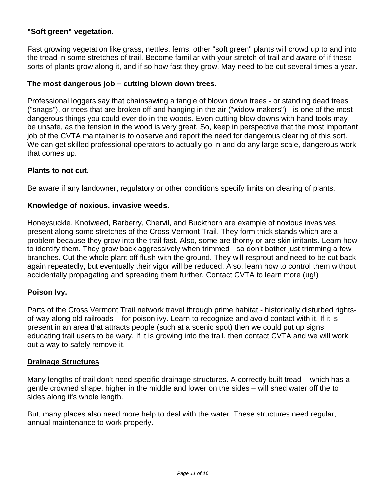# **"Soft green" vegetation.**

Fast growing vegetation like grass, nettles, ferns, other "soft green" plants will crowd up to and into the tread in some stretches of trail. Become familiar with your stretch of trail and aware of if these sorts of plants grow along it, and if so how fast they grow. May need to be cut several times a year.

## **The most dangerous job – cutting blown down trees.**

Professional loggers say that chainsawing a tangle of blown down trees - or standing dead trees ("snags"), or trees that are broken off and hanging in the air ("widow makers") - is one of the most dangerous things you could ever do in the woods. Even cutting blow downs with hand tools may be unsafe, as the tension in the wood is very great. So, keep in perspective that the most important job of the CVTA maintainer is to observe and report the need for dangerous clearing of this sort. We can get skilled professional operators to actually go in and do any large scale, dangerous work that comes up.

## **Plants to not cut.**

Be aware if any landowner, regulatory or other conditions specify limits on clearing of plants.

#### **Knowledge of noxious, invasive weeds.**

Honeysuckle, Knotweed, Barberry, Chervil, and Buckthorn are example of noxious invasives present along some stretches of the Cross Vermont Trail. They form thick stands which are a problem because they grow into the trail fast. Also, some are thorny or are skin irritants. Learn how to identify them. They grow back aggressively when trimmed - so don't bother just trimming a few branches. Cut the whole plant off flush with the ground. They will resprout and need to be cut back again repeatedly, but eventually their vigor will be reduced. Also, learn how to control them without accidentally propagating and spreading them further. Contact CVTA to learn more (ug!)

## **Poison Ivy.**

Parts of the Cross Vermont Trail network travel through prime habitat - historically disturbed rightsof-way along old railroads – for poison ivy. Learn to recognize and avoid contact with it. If it is present in an area that attracts people (such at a scenic spot) then we could put up signs educating trail users to be wary. If it is growing into the trail, then contact CVTA and we will work out a way to safely remove it.

#### **Drainage Structures**

Many lengths of trail don't need specific drainage structures. A correctly built tread – which has a gentle crowned shape, higher in the middle and lower on the sides – will shed water off the to sides along it's whole length.

But, many places also need more help to deal with the water. These structures need regular, annual maintenance to work properly.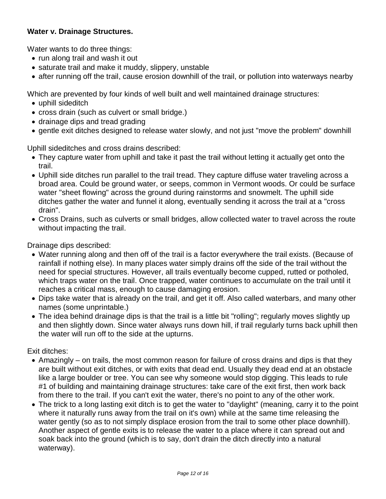# **Water v. Drainage Structures.**

Water wants to do three things:

- run along trail and wash it out
- saturate trail and make it muddy, slippery, unstable
- after running off the trail, cause erosion downhill of the trail, or pollution into waterways nearby

Which are prevented by four kinds of well built and well maintained drainage structures:

- uphill sideditch
- cross drain (such as culvert or small bridge.)
- drainage dips and tread grading
- gentle exit ditches designed to release water slowly, and not just "move the problem" downhill

Uphill sideditches and cross drains described:

- They capture water from uphill and take it past the trail without letting it actually get onto the trail.
- Uphill side ditches run parallel to the trail tread. They capture diffuse water traveling across a broad area. Could be ground water, or seeps, common in Vermont woods. Or could be surface water "sheet flowing" across the ground during rainstorms and snowmelt. The uphill side ditches gather the water and funnel it along, eventually sending it across the trail at a "cross drain".
- Cross Drains, such as culverts or small bridges, allow collected water to travel across the route without impacting the trail.

Drainage dips described:

- Water running along and then off of the trail is a factor everywhere the trail exists. (Because of rainfall if nothing else). In many places water simply drains off the side of the trail without the need for special structures. However, all trails eventually become cupped, rutted or potholed, which traps water on the trail. Once trapped, water continues to accumulate on the trail until it reaches a critical mass, enough to cause damaging erosion.
- Dips take water that is already on the trail, and get it off. Also called waterbars, and many other names (some unprintable.)
- The idea behind drainage dips is that the trail is a little bit "rolling"; regularly moves slightly up and then slightly down. Since water always runs down hill, if trail regularly turns back uphill then the water will run off to the side at the upturns.

Exit ditches:

- Amazingly on trails, the most common reason for failure of cross drains and dips is that they are built without exit ditches, or with exits that dead end. Usually they dead end at an obstacle like a large boulder or tree. You can see why someone would stop digging. This leads to rule #1 of building and maintaining drainage structures: take care of the exit first, then work back from there to the trail. If you can't exit the water, there's no point to any of the other work.
- The trick to a long lasting exit ditch is to get the water to "daylight" (meaning, carry it to the point where it naturally runs away from the trail on it's own) while at the same time releasing the water gently (so as to not simply displace erosion from the trail to some other place downhill). Another aspect of gentle exits is to release the water to a place where it can spread out and soak back into the ground (which is to say, don't drain the ditch directly into a natural waterway).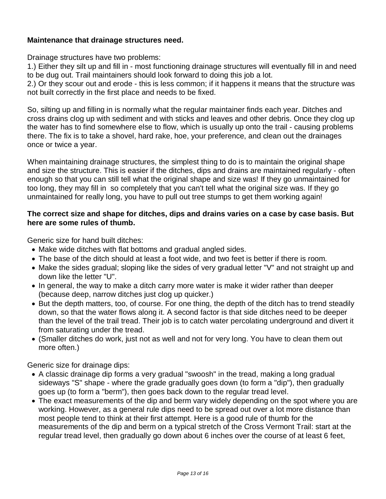## **Maintenance that drainage structures need.**

Drainage structures have two problems:

1.) Either they silt up and fill in - most functioning drainage structures will eventually fill in and need to be dug out. Trail maintainers should look forward to doing this job a lot.

2.) Or they scour out and erode - this is less common; if it happens it means that the structure was not built correctly in the first place and needs to be fixed.

So, silting up and filling in is normally what the regular maintainer finds each year. Ditches and cross drains clog up with sediment and with sticks and leaves and other debris. Once they clog up the water has to find somewhere else to flow, which is usually up onto the trail - causing problems there. The fix is to take a shovel, hard rake, hoe, your preference, and clean out the drainages once or twice a year.

When maintaining drainage structures, the simplest thing to do is to maintain the original shape and size the structure. This is easier if the ditches, dips and drains are maintained regularly - often enough so that you can still tell what the original shape and size was! If they go unmaintained for too long, they may fill in so completely that you can't tell what the original size was. If they go unmaintained for really long, you have to pull out tree stumps to get them working again!

# **The correct size and shape for ditches, dips and drains varies on a case by case basis. But here are some rules of thumb.**

Generic size for hand built ditches:

- Make wide ditches with flat bottoms and gradual angled sides.
- The base of the ditch should at least a foot wide, and two feet is better if there is room.
- Make the sides gradual; sloping like the sides of very gradual letter "V" and not straight up and down like the letter "U".
- In general, the way to make a ditch carry more water is make it wider rather than deeper (because deep, narrow ditches just clog up quicker.)
- But the depth matters, too, of course. For one thing, the depth of the ditch has to trend steadily down, so that the water flows along it. A second factor is that side ditches need to be deeper than the level of the trail tread. Their job is to catch water percolating underground and divert it from saturating under the tread.
- (Smaller ditches do work, just not as well and not for very long. You have to clean them out more often.)

Generic size for drainage dips:

- A classic drainage dip forms a very gradual "swoosh" in the tread, making a long gradual sideways "S" shape - where the grade gradually goes down (to form a "dip"), then gradually goes up (to form a "berm"), then goes back down to the regular tread level.
- The exact measurements of the dip and berm vary widely depending on the spot where you are working. However, as a general rule dips need to be spread out over a lot more distance than most people tend to think at their first attempt. Here is a good rule of thumb for the measurements of the dip and berm on a typical stretch of the Cross Vermont Trail: start at the regular tread level, then gradually go down about 6 inches over the course of at least 6 feet,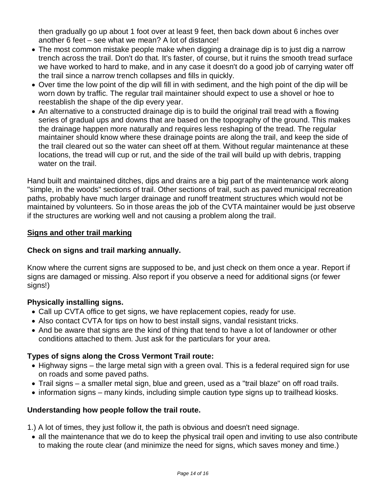then gradually go up about 1 foot over at least 9 feet, then back down about 6 inches over another 6 feet – see what we mean? A lot of distance!

- The most common mistake people make when digging a drainage dip is to just dig a narrow trench across the trail. Don't do that. It's faster, of course, but it ruins the smooth tread surface we have worked to hard to make, and in any case it doesn't do a good job of carrying water off the trail since a narrow trench collapses and fills in quickly.
- Over time the low point of the dip will fill in with sediment, and the high point of the dip will be worn down by traffic. The regular trail maintainer should expect to use a shovel or hoe to reestablish the shape of the dip every year.
- An alternative to a constructed drainage dip is to build the original trail tread with a flowing series of gradual ups and downs that are based on the topography of the ground. This makes the drainage happen more naturally and requires less reshaping of the tread. The regular maintainer should know where these drainage points are along the trail, and keep the side of the trail cleared out so the water can sheet off at them. Without regular maintenance at these locations, the tread will cup or rut, and the side of the trail will build up with debris, trapping water on the trail.

Hand built and maintained ditches, dips and drains are a big part of the maintenance work along "simple, in the woods" sections of trail. Other sections of trail, such as paved municipal recreation paths, probably have much larger drainage and runoff treatment structures which would not be maintained by volunteers. So in those areas the job of the CVTA maintainer would be just observe if the structures are working well and not causing a problem along the trail.

# **Signs and other trail marking**

## **Check on signs and trail marking annually.**

Know where the current signs are supposed to be, and just check on them once a year. Report if signs are damaged or missing. Also report if you observe a need for additional signs (or fewer signs!)

## **Physically installing signs.**

- Call up CVTA office to get signs, we have replacement copies, ready for use.
- Also contact CVTA for tips on how to best install signs, vandal resistant tricks.
- And be aware that signs are the kind of thing that tend to have a lot of landowner or other conditions attached to them. Just ask for the particulars for your area.

# **Types of signs along the Cross Vermont Trail route:**

- Highway signs the large metal sign with a green oval. This is a federal required sign for use on roads and some paved paths.
- Trail signs a smaller metal sign, blue and green, used as a "trail blaze" on off road trails.
- information signs many kinds, including simple caution type signs up to trailhead kiosks.

# **Understanding how people follow the trail route.**

- 1.) A lot of times, they just follow it, the path is obvious and doesn't need signage.
- all the maintenance that we do to keep the physical trail open and inviting to use also contribute to making the route clear (and minimize the need for signs, which saves money and time.)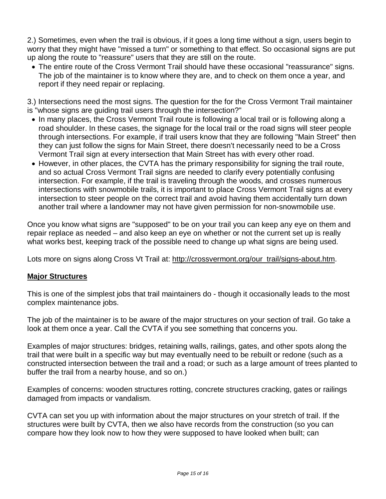2.) Sometimes, even when the trail is obvious, if it goes a long time without a sign, users begin to worry that they might have "missed a turn" or something to that effect. So occasional signs are put up along the route to "reassure" users that they are still on the route.

 The entire route of the Cross Vermont Trail should have these occasional "reassurance" signs. The job of the maintainer is to know where they are, and to check on them once a year, and report if they need repair or replacing.

3.) Intersections need the most signs. The question for the for the Cross Vermont Trail maintainer is "whose signs are guiding trail users through the intersection?"

- In many places, the Cross Vermont Trail route is following a local trail or is following along a road shoulder. In these cases, the signage for the local trail or the road signs will steer people through intersections. For example, if trail users know that they are following "Main Street" then they can just follow the signs for Main Street, there doesn't necessarily need to be a Cross Vermont Trail sign at every intersection that Main Street has with every other road.
- However, in other places, the CVTA has the primary responsibility for signing the trail route, and so actual Cross Vermont Trail signs are needed to clarify every potentially confusing intersection. For example, if the trail is traveling through the woods, and crosses numerous intersections with snowmobile trails, it is important to place Cross Vermont Trail signs at every intersection to steer people on the correct trail and avoid having them accidentally turn down another trail where a landowner may not have given permission for non-snowmobile use.

Once you know what signs are "supposed" to be on your trail you can keep any eye on them and repair replace as needed – and also keep an eye on whether or not the current set up is really what works best, keeping track of the possible need to change up what signs are being used.

Lots more on signs along Cross Vt Trail at: http://crossvermont.org/our\_trail/signs-about.htm.

## **Major Structures**

This is one of the simplest jobs that trail maintainers do - though it occasionally leads to the most complex maintenance jobs.

The job of the maintainer is to be aware of the major structures on your section of trail. Go take a look at them once a year. Call the CVTA if you see something that concerns you.

Examples of major structures: bridges, retaining walls, railings, gates, and other spots along the trail that were built in a specific way but may eventually need to be rebuilt or redone (such as a constructed intersection between the trail and a road; or such as a large amount of trees planted to buffer the trail from a nearby house, and so on.)

Examples of concerns: wooden structures rotting, concrete structures cracking, gates or railings damaged from impacts or vandalism.

CVTA can set you up with information about the major structures on your stretch of trail. If the structures were built by CVTA, then we also have records from the construction (so you can compare how they look now to how they were supposed to have looked when built; can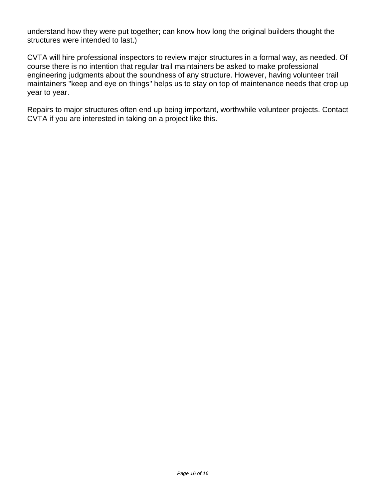understand how they were put together; can know how long the original builders thought the structures were intended to last.)

CVTA will hire professional inspectors to review major structures in a formal way, as needed. Of course there is no intention that regular trail maintainers be asked to make professional engineering judgments about the soundness of any structure. However, having volunteer trail maintainers "keep and eye on things" helps us to stay on top of maintenance needs that crop up year to year.

Repairs to major structures often end up being important, worthwhile volunteer projects. Contact CVTA if you are interested in taking on a project like this.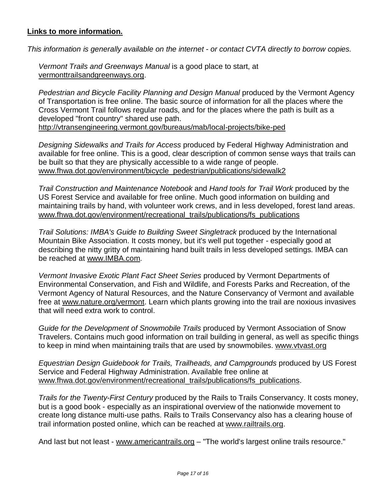## **Links to more information.**

*This information is generally available on the internet - or contact CVTA directly to borrow copies.*

*Vermont Trails and Greenways Manual* is a good place to start, at vermonttrailsandgreenways.org.

*Pedestrian and Bicycle Facility Planning and Design Manual* produced by the Vermont Agency of Transportation is free online. The basic source of information for all the places where the Cross Vermont Trail follows regular roads, and for the places where the path is built as a developed "front country" shared use path.

http://vtransengineering.vermont.gov/bureaus/mab/local-projects/bike-ped

*Designing Sidewalks and Trails for Access* produced by Federal Highway Administration and available for free online. This is a good, clear description of common sense ways that trails can be built so that they are physically accessible to a wide range of people. www.fhwa.dot.gov/environment/bicycle\_pedestrian/publications/sidewalk2

*Trail Construction and Maintenance Notebook* and *Hand tools for Trail Work* produced by the US Forest Service and available for free online. Much good information on building and maintaining trails by hand, with volunteer work crews, and in less developed, forest land areas. www.fhwa.dot.gov/environment/recreational\_trails/publications/fs\_publications

*Trail Solutions: IMBA's Guide to Building Sweet Singletrack* produced by the International Mountain Bike Association. It costs money, but it's well put together - especially good at describing the nitty gritty of maintaining hand built trails in less developed settings. IMBA can be reached at www.IMBA.com.

*Vermont Invasive Exotic Plant Fact Sheet Series* produced by Vermont Departments of Environmental Conservation, and Fish and Wildlife, and Forests Parks and Recreation, of the Vermont Agency of Natural Resources, and the Nature Conservancy of Vermont and available free at www.nature.org/vermont. Learn which plants growing into the trail are noxious invasives that will need extra work to control.

*Guide for the Development of Snowmobile Trails* produced by Vermont Association of Snow Travelers. Contains much good information on trail building in general, as well as specific things to keep in mind when maintaining trails that are used by snowmobiles. www.vtvast.org

*Equestrian Design Guidebook for Trails, Trailheads, and Campgrounds* produced by US Forest Service and Federal Highway Administration. Available free online at www.fhwa.dot.gov/environment/recreational\_trails/publications/fs\_publications.

*Trails for the Twenty-First Century* produced by the Rails to Trails Conservancy. It costs money, but is a good book - especially as an inspirational overview of the nationwide movement to create long distance multi-use paths. Rails to Trails Conservancy also has a clearing house of trail information posted online, which can be reached at www.railtrails.org.

And last but not least - www.americantrails.org – "The world's largest online trails resource."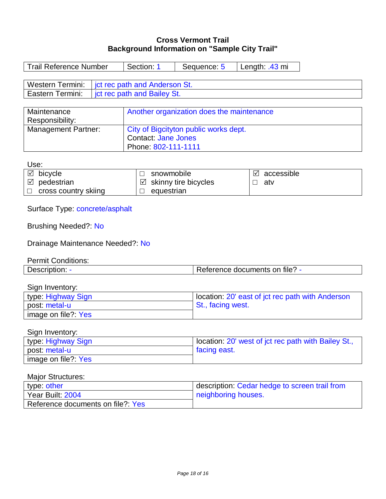# **Cross Vermont Trail Background Information on "Sample City Trail"**

| <b>Trail Reference Number</b>                                                                                                  | Section: 1                            | Sequence: 5                               | Length: .43 mi                                                        |  |  |  |
|--------------------------------------------------------------------------------------------------------------------------------|---------------------------------------|-------------------------------------------|-----------------------------------------------------------------------|--|--|--|
| <b>Western Termini:</b><br>jct rec path and Anderson St.                                                                       |                                       |                                           |                                                                       |  |  |  |
| Eastern Termini:                                                                                                               | jct rec path and Bailey St.           |                                           |                                                                       |  |  |  |
|                                                                                                                                |                                       |                                           |                                                                       |  |  |  |
| Maintenance                                                                                                                    |                                       | Another organization does the maintenance |                                                                       |  |  |  |
| Responsibility:                                                                                                                |                                       |                                           |                                                                       |  |  |  |
| <b>Management Partner:</b>                                                                                                     | City of Bigcityton public works dept. |                                           |                                                                       |  |  |  |
|                                                                                                                                | <b>Contact: Jane Jones</b>            |                                           |                                                                       |  |  |  |
|                                                                                                                                | Phone: 802-111-1111                   |                                           |                                                                       |  |  |  |
| Use:                                                                                                                           |                                       |                                           |                                                                       |  |  |  |
| $\boxtimes$ bicycle                                                                                                            | snowmobile<br>⊔                       |                                           | accessible<br>⊻                                                       |  |  |  |
| $\boxtimes$ pedestrian                                                                                                         | ⊻                                     | skinny tire bicycles                      | atv<br>□                                                              |  |  |  |
| cross country skiing                                                                                                           | equestrian                            |                                           |                                                                       |  |  |  |
| Surface Type: concrete/asphalt<br><b>Brushing Needed?: No</b><br>Drainage Maintenance Needed?: No<br><b>Permit Conditions:</b> |                                       |                                           |                                                                       |  |  |  |
| Description: -                                                                                                                 |                                       |                                           | Reference documents on file? -                                        |  |  |  |
| Sign Inventory:<br>type: Highway Sign                                                                                          |                                       |                                           |                                                                       |  |  |  |
| post: metal-u                                                                                                                  |                                       |                                           | location: 20' east of jct rec path with Anderson<br>St., facing west. |  |  |  |
| image on file?: Yes                                                                                                            |                                       |                                           |                                                                       |  |  |  |
| Sign Inventory:                                                                                                                |                                       |                                           |                                                                       |  |  |  |
| type: Highway Sign                                                                                                             |                                       |                                           | location: 20' west of jct rec path with Bailey St.,                   |  |  |  |
| post: metal-u                                                                                                                  |                                       | facing east.                              |                                                                       |  |  |  |
| image on file?: Yes                                                                                                            |                                       |                                           |                                                                       |  |  |  |
| <b>Major Structures:</b>                                                                                                       |                                       |                                           |                                                                       |  |  |  |
| type: other                                                                                                                    |                                       |                                           | description: Cedar hedge to screen trail from                         |  |  |  |
| Year Built: 2004                                                                                                               |                                       | neighboring houses.                       |                                                                       |  |  |  |
| Reference documents on file?: Yes                                                                                              |                                       |                                           |                                                                       |  |  |  |
|                                                                                                                                |                                       |                                           |                                                                       |  |  |  |